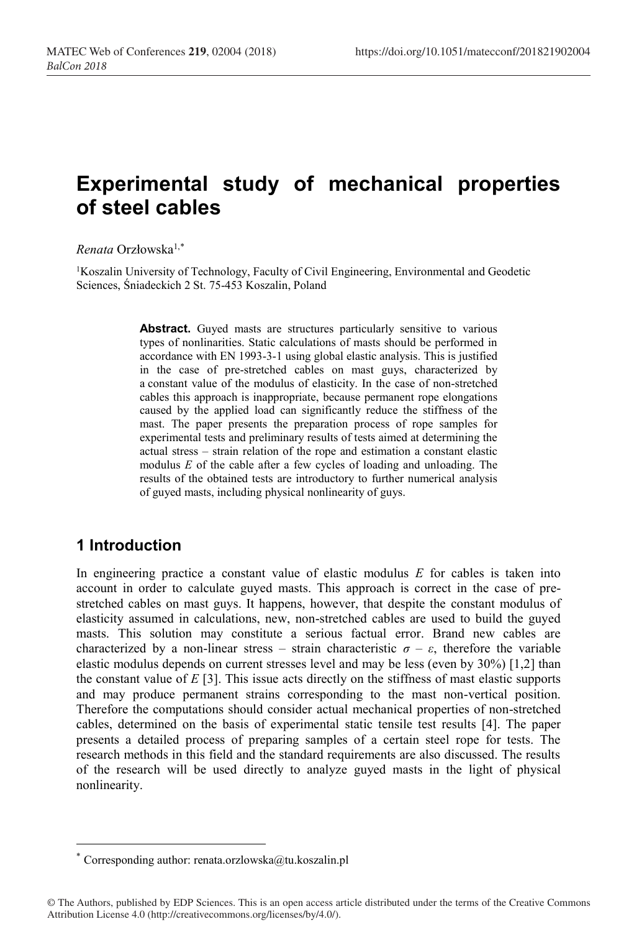# **Experimental study of mechanical properties of steel cables**

*Renata* Orzłowska1,\*

<sup>1</sup>Koszalin University of Technology, Faculty of Civil Engineering, Environmental and Geodetic Sciences, Śniadeckich 2 St. 75-453 Koszalin, Poland

> Abstract. Guyed masts are structures particularly sensitive to various types of nonlinarities. Static calculations of masts should be performed in accordance with EN 1993-3-1 using global elastic analysis. This is justified in the case of pre-stretched cables on mast guys, characterized by a constant value of the modulus of elasticity. In the case of non-stretched cables this approach is inappropriate, because permanent rope elongations caused by the applied load can significantly reduce the stiffness of the mast. The paper presents the preparation process of rope samples for experimental tests and preliminary results of tests aimed at determining the actual stress *–* strain relation of the rope and estimation a constant elastic modulus *E* of the cable after a few cycles of loading and unloading. The results of the obtained tests are introductory to further numerical analysis of guyed masts, including physical nonlinearity of guys.

# **1 Introduction**

-

In engineering practice a constant value of elastic modulus *E* for cables is taken into account in order to calculate guyed masts. This approach is correct in the case of prestretched cables on mast guys. It happens, however, that despite the constant modulus of elasticity assumed in calculations, new, non-stretched cables are used to build the guyed masts. This solution may constitute a serious factual error. Brand new cables are characterized by a non-linear stress – strain characteristic  $\sigma - \varepsilon$ , therefore the variable elastic modulus depends on current stresses level and may be less (even by 30%) [1,2] than the constant value of  $E$  [3]. This issue acts directly on the stiffness of mast elastic supports and may produce permanent strains corresponding to the mast non-vertical position. Therefore the computations should consider actual mechanical properties of non-stretched cables, determined on the basis of experimental static tensile test results [4]. The paper presents a detailed process of preparing samples of a certain steel rope for tests. The research methods in this field and the standard requirements are also discussed. The results of the research will be used directly to analyze guyed masts in the light of physical nonlinearity.

<sup>\*</sup> Corresponding author: renata.orzlowska@tu.koszalin.pl

<sup>©</sup> The Authors, published by EDP Sciences. This is an open access article distributed under the terms of the Creative Commons Attribution License 4.0 (http://creativecommons.org/licenses/by/4.0/).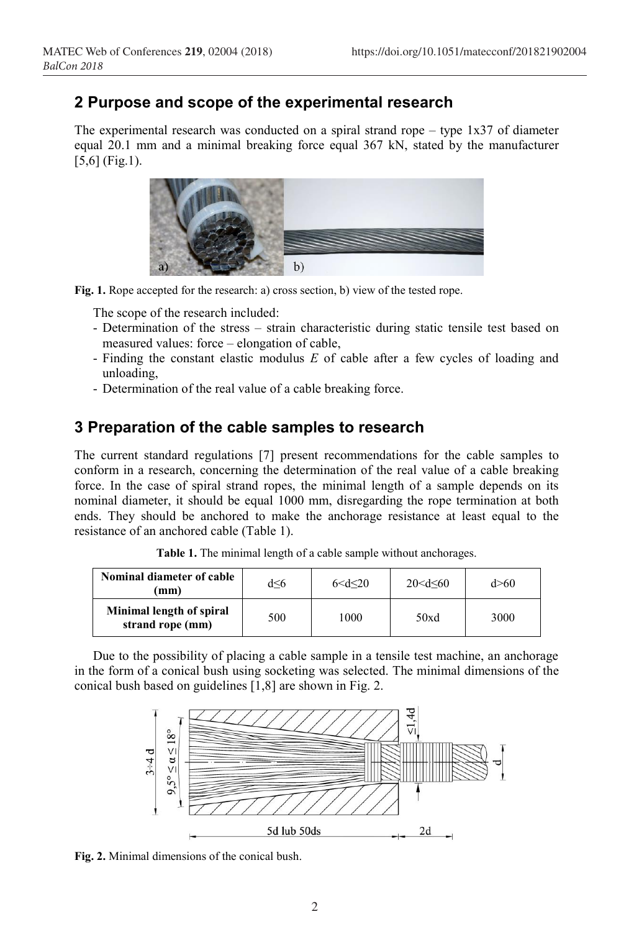## **2 Purpose and scope of the experimental research**

The experimental research was conducted on a spiral strand rope *–* type 1x37 of diameter equal 20.1 mm and a minimal breaking force equal 367 kN, stated by the manufacturer [5,6] (Fig.1).



**Fig. 1.** Rope accepted for the research: a) cross section, b) view of the tested rope.

The scope of the research included:

- Determination of the stress *–* strain characteristic during static tensile test based on measured values: force *–* elongation of cable,
- Finding the constant elastic modulus *E* of cable after a few cycles of loading and unloading,
- Determination of the real value of a cable breaking force.

#### **3 Preparation of the cable samples to research**

The current standard regulations [7] present recommendations for the cable samples to conform in a research, concerning the determination of the real value of a cable breaking force. In the case of spiral strand ropes, the minimal length of a sample depends on its nominal diameter, it should be equal 1000 mm, disregarding the rope termination at both ends. They should be anchored to make the anchorage resistance at least equal to the resistance of an anchored cable (Table 1).

| Nominal diameter of cable<br>mm)             | d<6 | 6 < d < 20 | $20 < d \leq 60$ | d > 60 |
|----------------------------------------------|-----|------------|------------------|--------|
| Minimal length of spiral<br>strand rope (mm) | 500 | 1000       | 50xd             | 3000   |

**Table 1.** The minimal length of a cable sample without anchorages.

Due to the possibility of placing a cable sample in a tensile test machine, an anchorage in the form of a conical bush using socketing was selected. The minimal dimensions of the conical bush based on guidelines [1,8] are shown in Fig. 2.



**Fig. 2.** Minimal dimensions of the conical bush.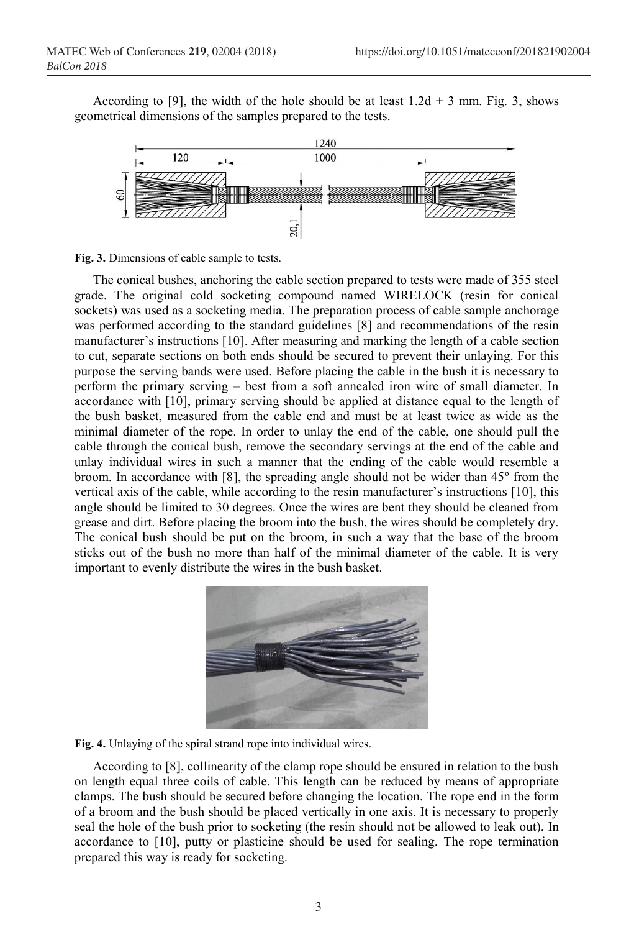According to [9], the width of the hole should be at least  $1.2d + 3$  mm. Fig. 3, shows geometrical dimensions of the samples prepared to the tests.



**Fig. 3.** Dimensions of cable sample to tests.

The conical bushes, anchoring the cable section prepared to tests were made of 355 steel grade. The original cold socketing compound named WIRELOCK (resin for conical sockets) was used as a socketing media. The preparation process of cable sample anchorage was performed according to the standard guidelines [8] and recommendations of the resin manufacturer's instructions [10]. After measuring and marking the length of a cable section to cut, separate sections on both ends should be secured to prevent their unlaying. For this purpose the serving bands were used. Before placing the cable in the bush it is necessary to perform the primary serving – best from a soft annealed iron wire of small diameter. In accordance with [10], primary serving should be applied at distance equal to the length of the bush basket, measured from the cable end and must be at least twice as wide as the minimal diameter of the rope. In order to unlay the end of the cable, one should pull the cable through the conical bush, remove the secondary servings at the end of the cable and unlay individual wires in such a manner that the ending of the cable would resemble a broom. In accordance with [8], the spreading angle should not be wider than  $45^{\circ}$  from the vertical axis of the cable, while according to the resin manufacturer's instructions [10], this angle should be limited to 30 degrees. Once the wires are bent they should be cleaned from grease and dirt. Before placing the broom into the bush, the wires should be completely dry. The conical bush should be put on the broom, in such a way that the base of the broom sticks out of the bush no more than half of the minimal diameter of the cable. It is very important to evenly distribute the wires in the bush basket.





According to [8], collinearity of the clamp rope should be ensured in relation to the bush on length equal three coils of cable. This length can be reduced by means of appropriate clamps. The bush should be secured before changing the location. The rope end in the form of a broom and the bush should be placed vertically in one axis. It is necessary to properly seal the hole of the bush prior to socketing (the resin should not be allowed to leak out). In accordance to [10], putty or plasticine should be used for sealing. The rope termination prepared this way is ready for socketing.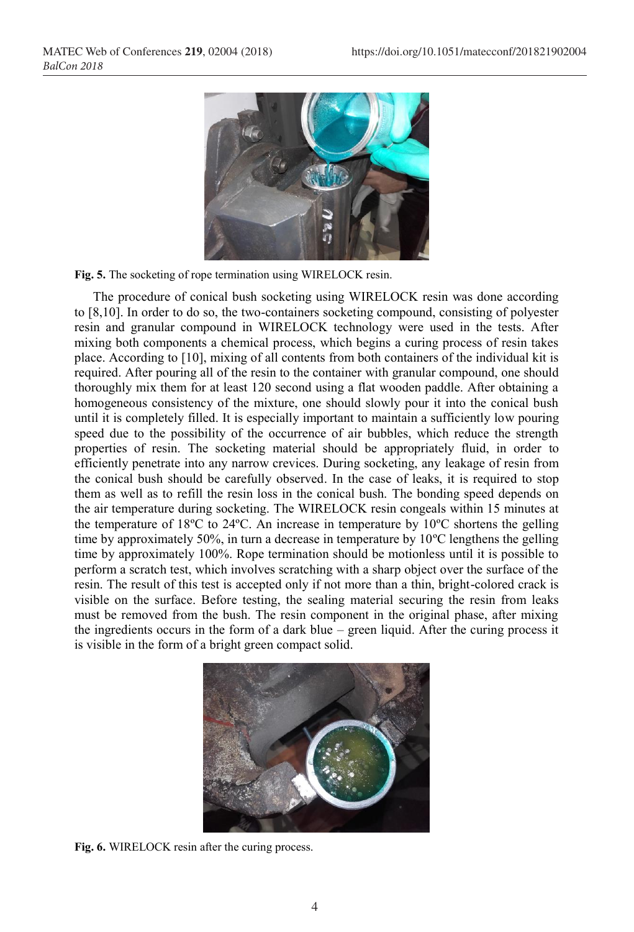

**Fig. 5.** The socketing of rope termination using WIRELOCK resin.

The procedure of conical bush socketing using WIRELOCK resin was done according to [8,10]. In order to do so, the two-containers socketing compound, consisting of polyester resin and granular compound in WIRELOCK technology were used in the tests. After mixing both components a chemical process, which begins a curing process of resin takes place. According to [10], mixing of all contents from both containers of the individual kit is required. After pouring all of the resin to the container with granular compound, one should thoroughly mix them for at least 120 second using a flat wooden paddle. After obtaining a homogeneous consistency of the mixture, one should slowly pour it into the conical bush until it is completely filled. It is especially important to maintain a sufficiently low pouring speed due to the possibility of the occurrence of air bubbles, which reduce the strength properties of resin. The socketing material should be appropriately fluid, in order to efficiently penetrate into any narrow crevices. During socketing, any leakage of resin from the conical bush should be carefully observed. In the case of leaks, it is required to stop them as well as to refill the resin loss in the conical bush. The bonding speed depends on the air temperature during socketing. The WIRELOCK resin congeals within 15 minutes at the temperature of 18ºC to 24ºC. An increase in temperature by 10ºC shortens the gelling time by approximately 50%, in turn a decrease in temperature by 10ºC lengthens the gelling time by approximately 100%. Rope termination should be motionless until it is possible to perform a scratch test, which involves scratching with a sharp object over the surface of the resin. The result of this test is accepted only if not more than a thin, bright-colored crack is visible on the surface. Before testing, the sealing material securing the resin from leaks must be removed from the bush. The resin component in the original phase, after mixing the ingredients occurs in the form of a dark blue *–* green liquid. After the curing process it is visible in the form of a bright green compact solid.



**Fig. 6.** WIRELOCK resin after the curing process.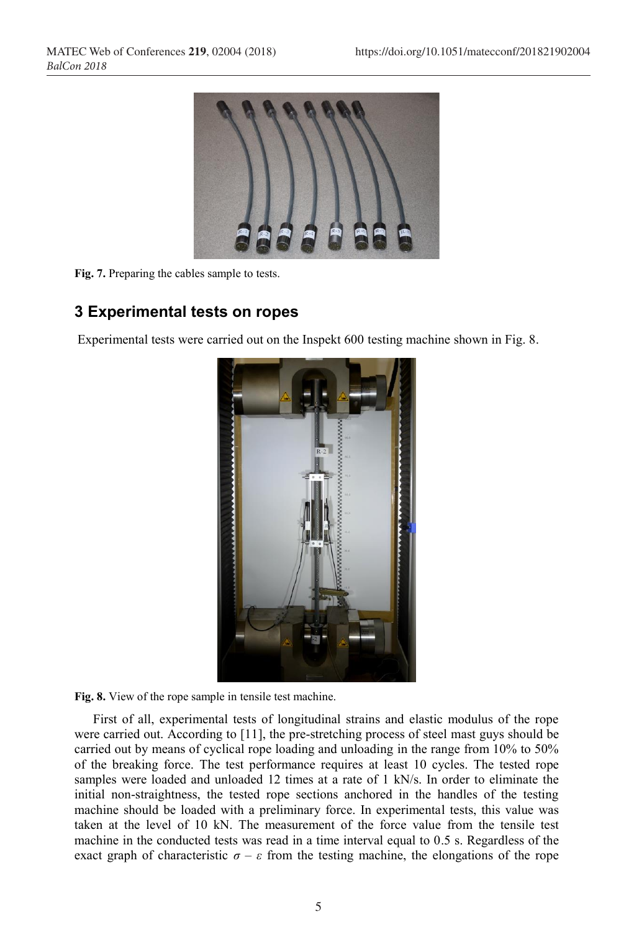

**Fig. 7.** Preparing the cables sample to tests.

### **3 Experimental tests on ropes**

Experimental tests were carried out on the Inspekt 600 testing machine shown in Fig. 8.



**Fig. 8.** View of the rope sample in tensile test machine.

First of all, experimental tests of longitudinal strains and elastic modulus of the rope were carried out. According to [11], the pre-stretching process of steel mast guys should be carried out by means of cyclical rope loading and unloading in the range from 10% to 50% of the breaking force. The test performance requires at least 10 cycles. The tested rope samples were loaded and unloaded 12 times at a rate of 1 kN/s. In order to eliminate the initial non-straightness, the tested rope sections anchored in the handles of the testing machine should be loaded with a preliminary force. In experimental tests, this value was taken at the level of 10 kN. The measurement of the force value from the tensile test machine in the conducted tests was read in a time interval equal to 0.5 s. Regardless of the exact graph of characteristic  $\sigma - \varepsilon$  from the testing machine, the elongations of the rope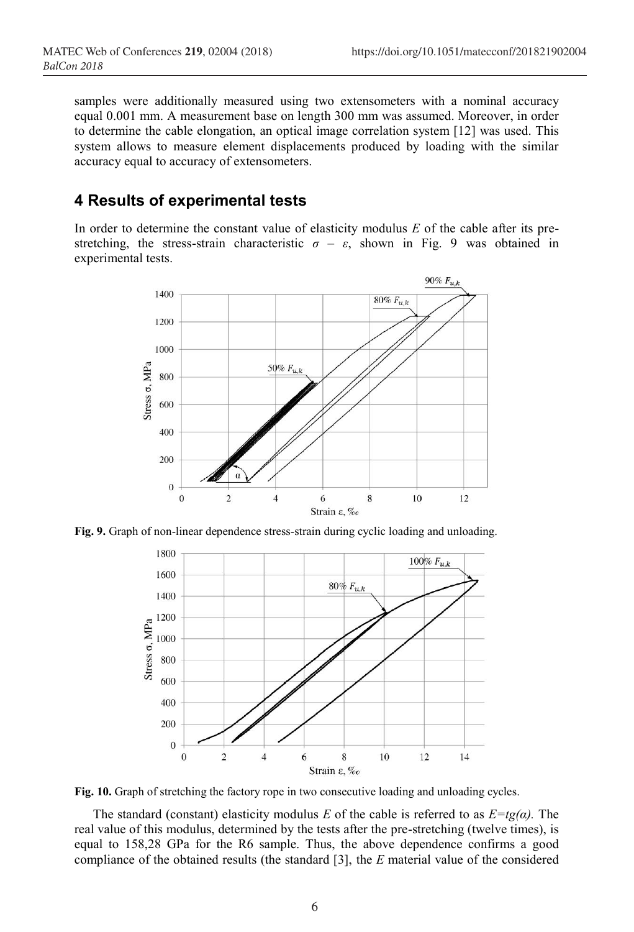samples were additionally measured using two extensometers with a nominal accuracy equal 0.001 mm. A measurement base on length 300 mm was assumed. Moreover, in order to determine the cable elongation, an optical image correlation system [12] was used. This system allows to measure element displacements produced by loading with the similar accuracy equal to accuracy of extensometers.

### **4 Results of experimental tests**

In order to determine the constant value of elasticity modulus *E* of the cable after its prestretching, the stress-strain characteristic  $\sigma - \varepsilon$ , shown in Fig. 9 was obtained in experimental tests.



**Fig. 9.** Graph of non-linear dependence stress-strain during cyclic loading and unloading.



**Fig. 10.** Graph of stretching the factory rope in two consecutive loading and unloading cycles.

The standard (constant) elasticity modulus *E* of the cable is referred to as  $E = tg(\alpha)$ . The real value of this modulus, determined by the tests after the pre-stretching (twelve times), is equal to 158,28 GPa for the R6 sample. Thus, the above dependence confirms a good compliance of the obtained results (the standard [3], the *E* material value of the considered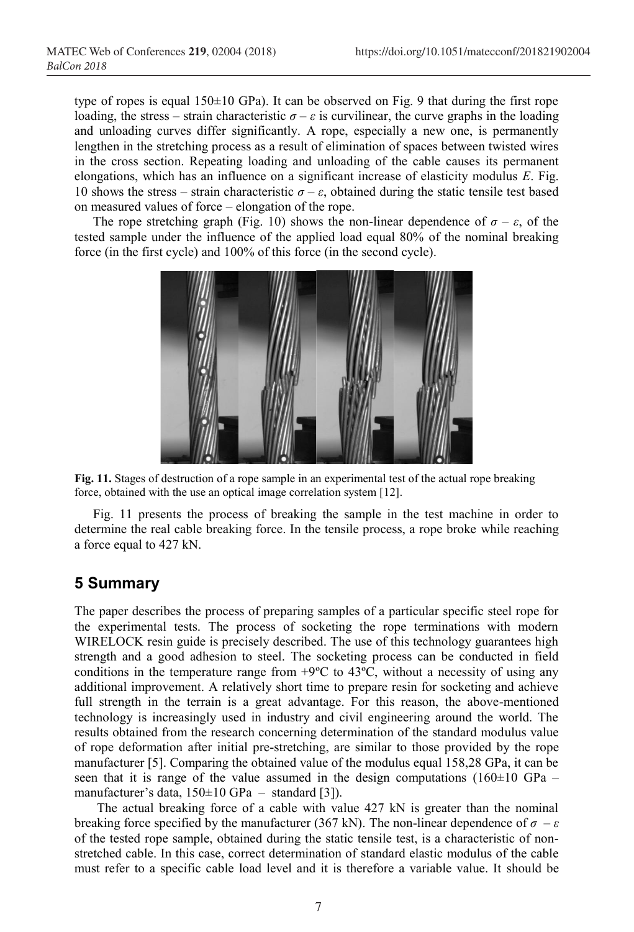type of ropes is equal  $150±10$  GPa). It can be observed on Fig. 9 that during the first rope loading, the stress – strain characteristic  $\sigma - \varepsilon$  is curvilinear, the curve graphs in the loading and unloading curves differ significantly. A rope, especially a new one, is permanently lengthen in the stretching process as a result of elimination of spaces between twisted wires in the cross section. Repeating loading and unloading of the cable causes its permanent elongations, which has an influence on a significant increase of elasticity modulus *E*. Fig. 10 shows the stress – strain characteristic  $\sigma - \varepsilon$ , obtained during the static tensile test based on measured values of force *–* elongation of the rope.

The rope stretching graph (Fig. 10) shows the non-linear dependence of  $\sigma - \varepsilon$ , of the tested sample under the influence of the applied load equal 80% of the nominal breaking force (in the first cycle) and 100% of this force (in the second cycle).



**Fig. 11.** Stages of destruction of a rope sample in an experimental test of the actual rope breaking force, obtained with the use an optical image correlation system [12].

Fig. 11 presents the process of breaking the sample in the test machine in order to determine the real cable breaking force. In the tensile process, a rope broke while reaching a force equal to 427 kN.

#### **5 Summary**

The paper describes the process of preparing samples of a particular specific steel rope for the experimental tests. The process of socketing the rope terminations with modern WIRELOCK resin guide is precisely described. The use of this technology guarantees high strength and a good adhesion to steel. The socketing process can be conducted in field conditions in the temperature range from  $+9^{\circ}C$  to 43 $^{\circ}C$ , without a necessity of using any additional improvement. A relatively short time to prepare resin for socketing and achieve full strength in the terrain is a great advantage. For this reason, the above-mentioned technology is increasingly used in industry and civil engineering around the world. The results obtained from the research concerning determination of the standard modulus value of rope deformation after initial pre-stretching, are similar to those provided by the rope manufacturer [5]. Comparing the obtained value of the modulus equal 158,28 GPa, it can be seen that it is range of the value assumed in the design computations  $(160\pm10 \text{ GPa}$ manufacturer's data, 150±10 GPa *–* standard [3]).

The actual breaking force of a cable with value 427 kN is greater than the nominal breaking force specified by the manufacturer (367 kN). The non-linear dependence of  $\sigma - \varepsilon$ of the tested rope sample, obtained during the static tensile test, is a characteristic of nonstretched cable. In this case, correct determination of standard elastic modulus of the cable must refer to a specific cable load level and it is therefore a variable value. It should be